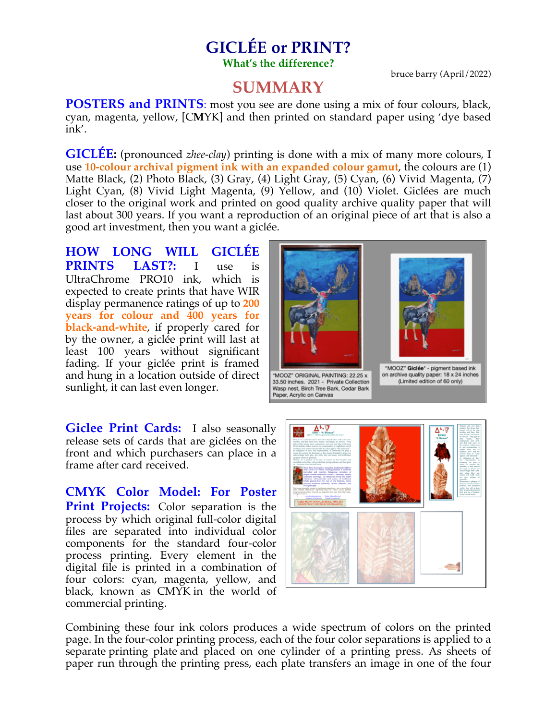## **GICLÉE or PRINT? What's the difference?**

bruce barry (April/2022)

# **SUMMARY**

**POSTERS and PRINTS**: most you see are done using a mix of four colours, black, cyan, magenta, yellow, [C**M**YK] and then printed on standard paper using 'dye based ink'.

**GICLÉE:** (pronounced *zhee-clay*) printing is done with a mix of many more colours, I use **10-colour archival pigment ink with an expanded colour gamut**, the colours are (1) Matte Black, (2) Photo Black, (3) Gray, (4) Light Gray, (5) Cyan, (6) Vivid Magenta, (7) Light Cyan, (8) Vivid Light Magenta, (9) Yellow, and (10) Violet. Giclées are much closer to the original work and printed on good quality archive quality paper that will last about 300 years. If you want a reproduction of an original piece of art that is also a good art investment, then you want a giclée.

**HOW LONG WILL GICLÉE PRINTS LAST?:** I use is UltraChrome PRO10 ink, which is expected to create prints that have WIR display permanence ratings of up to **200 years for colour and 400 years for black-and-white**, if properly cared for by the owner, a giclée print will last at least 100 years without significant fading. If your giclée print is framed and hung in a location outside of direct sunlight, it can last even longer.



**Giclee Print Cards:** I also seasonally release sets of cards that are giclées on the front and which purchasers can place in a frame after card received.

**CMYK Color Model: For Poster Print Projects:** Color separation is the process by which original full-color digital files are separated into individual color components for the standard four-color process printing. Every element in the digital file is printed in a combination of four colors: cyan, magenta, yellow, and black, known as CMYK in the world of commercial printing.



Combining these four ink colors produces a wide spectrum of colors on the printed page. In the four-color printing process, each of the four color separations is applied to a separate printing plate and placed on one cylinder of a printing press. As sheets of paper run through the printing press, each plate transfers an image in one of the four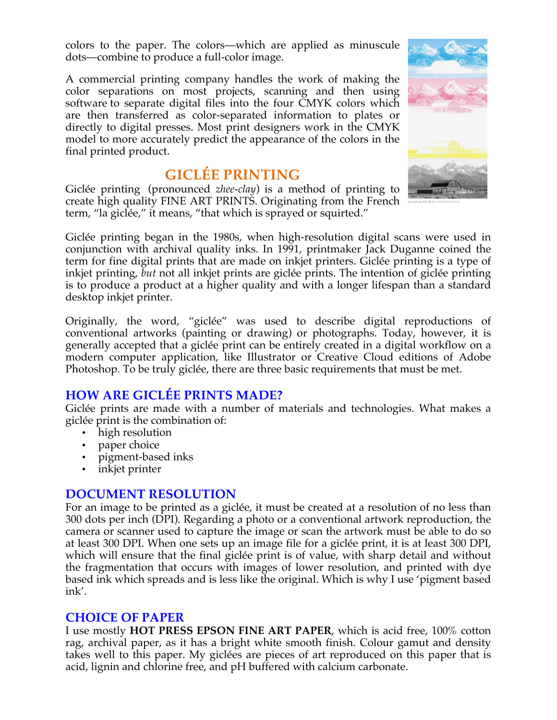colors to the paper. The colors—which are applied as minuscule dots—combine to produce a full-color image.

A commercial printing company handles the work of making the color separations on most projects, scanning and then using software to separate digital files into the four CMYK colors which are then transferred as color-separated information to plates or directly to digital presses. Most print designers work in the CMYK model to more accurately predict the appearance of the colors in the final printed product.

# **GICLÉE PRINTING**

Giclée printing (pronounced *zhee-clay*) is a method of printing to create high quality FINE ART PRINTS. Originating from the French term, "la giclée," it means, "that which is sprayed or squirted."



Giclée printing began in the 1980s, when high-resolution digital scans were used in conjunction with archival quality inks. In 1991, printmaker Jack Duganne coined the term for fine digital prints that are made on inkjet printers. Giclée printing is a type of inkjet printing, *but* not all inkjet prints are giclée prints. The intention of giclée printing is to produce a product at a higher quality and with a longer lifespan than a standard desktop inkjet printer.

Originally, the word, "giclée" was used to describe digital reproductions of conventional artworks (painting or drawing) or photographs. Today, however, it is generally accepted that a giclée print can be entirely created in a digital workflow on a modern computer application, like Illustrator or Creative Cloud editions of Adobe Photoshop. To be truly giclée, there are three basic requirements that must be met.

## **HOW ARE GICLÉE PRINTS MADE?**

Giclée prints are made with a number of materials and technologies. What makes a giclée print is the combination of:

- high resolution
- paper choice
- pigment-based inks
- inkjet printer

### **DOCUMENT RESOLUTION**

For an image to be printed as a giclée, it must be created at a resolution of no less than 300 dots per inch (DPI). Regarding a photo or a conventional artwork reproduction, the camera or scanner used to capture the image or scan the artwork must be able to do so at least 300 DPI. When one sets up an image file for a giclée print, it is at least 300 DPI, which will ensure that the final giclée print is of value, with sharp detail and without the fragmentation that occurs with images of lower resolution, and printed with dye based ink which spreads and is less like the original. Which is why I use 'pigment based ink'.

#### **CHOICE OF PAPER**

I use mostly **HOT PRESS EPSON FINE ART PAPER**, which is acid free, 100% cotton rag, archival paper, as it has a bright white smooth finish. Colour gamut and density takes well to this paper. My giclées are pieces of art reproduced on this paper that is acid, lignin and chlorine free, and pH buffered with calcium carbonate.